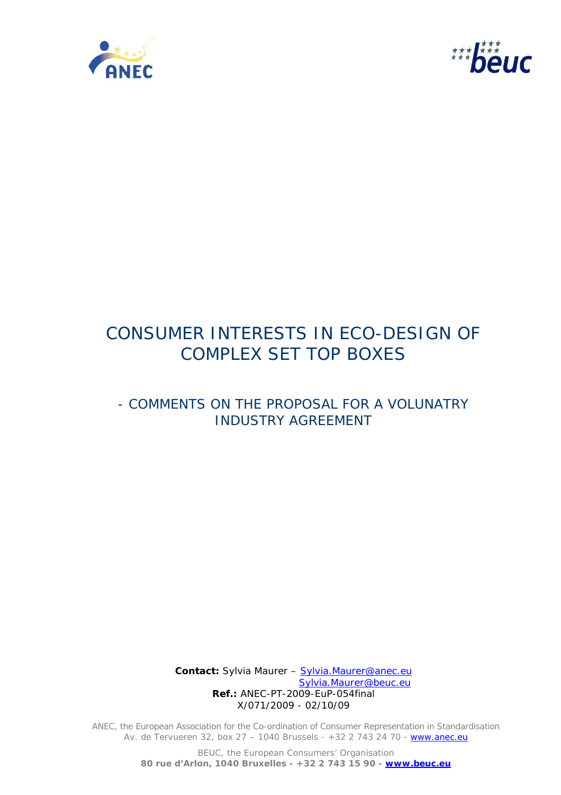



# CONSUMER INTERESTS IN ECO-DESIGN OF COMPLEX SET TOP BOXES

# - COMMENTS ON THE PROPOSAL FOR A VOLUNATRY INDUSTRY AGREEMENT

 **Contact:** Sylvia Maurer – Sylvia.Maurer@anec.eu Sylvia.Maurer@beuc.eu  **Ref.:** ANEC-PT-2009-EuP-054final X/071/2009 - 02/10/09

ANEC, the European Association for the Co-ordination of Consumer Representation in Standardisation Av. de Tervueren 32, box 27 - 1040 Brussels - +32 2 743 24 70 - www.anec.eu

> BEUC, the European Consumers' Organisation **80 rue d'Arlon, 1040 Bruxelles - +32 2 743 15 90 - www.beuc.eu**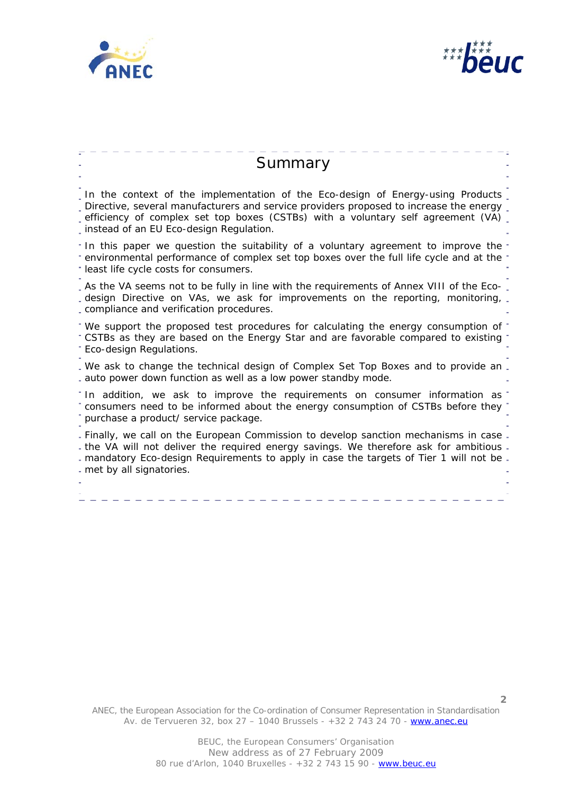



**2**

Summary In the context of the implementation of the Eco-design of Energy-using Products Directive, several manufacturers and service providers proposed to increase the energy efficiency of complex set top boxes (CSTBs) with a voluntary self agreement (VA) instead of an EU Eco-design Regulation. In this paper we question the suitability of a voluntary agreement to improve the environmental performance of complex set top boxes over the full life cycle and at the least life cycle costs for consumers. . As the VA seems not to be fully in line with the requirements of Annex VIII of the Ecodesign Directive on VAs, we ask for improvements on the reporting, monitoring, compliance and verification procedures. We support the proposed test procedures for calculating the energy consumption of CSTBs as they are based on the Energy Star and are favorable compared to existing Eco-design Regulations. . We ask to change the technical design of Complex Set Top Boxes and to provide an. auto power down function as well as a low power standby mode. In addition, we ask to improve the requirements on consumer information as consumers need to be informed about the energy consumption of CSTBs before they purchase a product/ service package. Finally, we call on the European Commission to develop sanction mechanisms in case the VA will not deliver the required energy savings. We therefore ask for ambitious mandatory Eco-design Requirements to apply in case the targets of Tier 1 will not be met by all signatories.

ANEC, the European Association for the Co-ordination of Consumer Representation in Standardisation Av. de Tervueren 32, box 27 – 1040 Brussels - +32 2 743 24 70 - www.anec.eu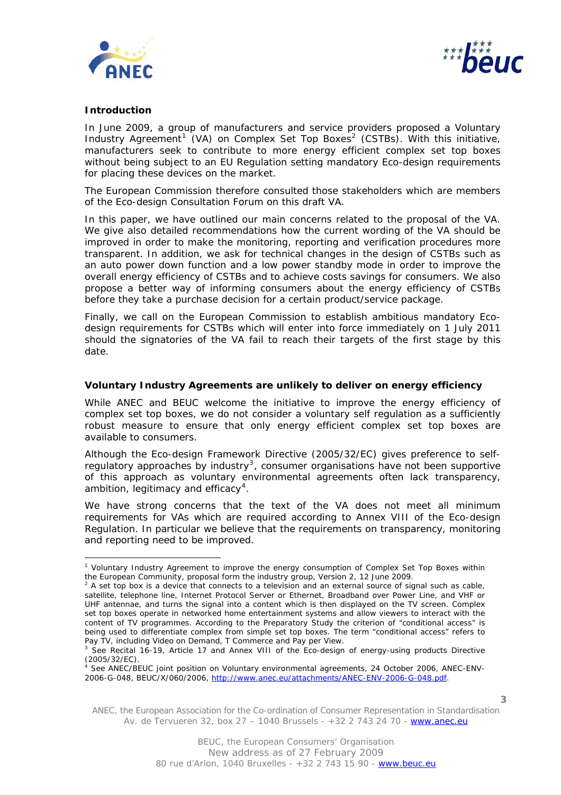



### **Introduction**

j.

In June 2009, a group of manufacturers and service providers proposed a Voluntary Industry Agreement<sup>[1](#page-2-0)</sup> (VA) on Complex Set Top Boxes<sup>[2](#page-2-1)</sup> (CSTBs). With this initiative, manufacturers seek to contribute to more energy efficient complex set top boxes without being subject to an EU Regulation setting mandatory Eco-design requirements for placing these devices on the market.

The European Commission therefore consulted those stakeholders which are members of the Eco-design Consultation Forum on this draft VA.

In this paper, we have outlined our main concerns related to the proposal of the VA. We give also detailed recommendations how the current wording of the VA should be improved in order to make the monitoring, reporting and verification procedures more transparent. In addition, we ask for technical changes in the design of CSTBs such as an auto power down function and a low power standby mode in order to improve the overall energy efficiency of CSTBs and to achieve costs savings for consumers. We also propose a better way of informing consumers about the energy efficiency of CSTBs before they take a purchase decision for a certain product/service package.

Finally, we call on the European Commission to establish ambitious mandatory Ecodesign requirements for CSTBs which will enter into force immediately on 1 July 2011 should the signatories of the VA fail to reach their targets of the first stage by this date.

#### **Voluntary Industry Agreements are unlikely to deliver on energy efficiency**

While ANEC and BEUC welcome the initiative to improve the energy efficiency of complex set top boxes, we do not consider a voluntary self regulation as a sufficiently robust measure to ensure that only energy efficient complex set top boxes are available to consumers.

Although the Eco-design Framework Directive (2005/32/EC) gives preference to self-regulatory approaches by industry<sup>[3](#page-2-2)</sup>, consumer organisations have not been supportive of this approach as voluntary environmental agreements often lack transparency, ambition, legitimacy and efficacy<sup>[4](#page-2-3)</sup>.

We have strong concerns that the text of the VA does not meet all minimum requirements for VAs which are required according to Annex VIII of the Eco-design Regulation. In particular we believe that the requirements on transparency, monitoring and reporting need to be improved.

<span id="page-2-0"></span><sup>&</sup>lt;sup>1</sup> Voluntary Industry Agreement to improve the energy consumption of Complex Set Top Boxes within the European Community, proposal form the industry group, Version 2, 12 June 2009.

<span id="page-2-1"></span> $2$  A set top box is a device that connects to a television and an external source of signal such as cable, satellite, telephone line, Internet Protocol Server or Ethernet, Broadband over Power Line, and VHF or UHF antennae, and turns the signal into a content which is then displayed on the TV screen. Complex set top boxes operate in networked home entertainment systems and allow viewers to interact with the content of TV programmes. According to the Preparatory Study the criterion of "conditional access" is being used to differentiate complex from simple set top boxes. The term "conditional access" refers to Pay TV, including Video on Demand, T Commerce and Pay per View.

<span id="page-2-2"></span> $3$  See Recital 16-19, Article 17 and Annex VIII of the Eco-design of energy-using products Directive (2005/32/EC).

<span id="page-2-3"></span><sup>4</sup> See ANEC/BEUC joint position on Voluntary environmental agreements, 24 October 2006, ANEC-ENV-2006-G-048, BEUC/X/060/2006, [http://www.anec.eu/attachments/ANEC-ENV-2006-G-048.pdf.](http://www.anec.eu/attachments/ANEC-ENV-2006-G-048.pdf)

ANEC, the European Association for the Co-ordination of Consumer Representation in Standardisation Av. de Tervueren 32, box  $27 - 1040$  Brussels -  $+32$  2 743 24 70 - www.anec.eu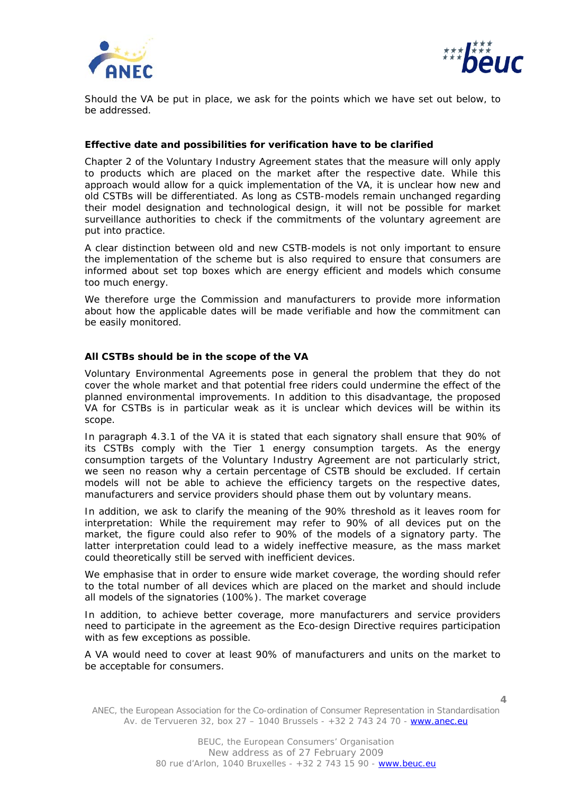



Should the VA be put in place, we ask for the points which we have set out below, to be addressed.

#### **Effective date and possibilities for verification have to be clarified**

Chapter 2 of the Voluntary Industry Agreement states that the measure will only apply to products which are placed on the market after the respective date. While this approach would allow for a quick implementation of the VA, it is unclear how new and old CSTBs will be differentiated. As long as CSTB-models remain unchanged regarding their model designation and technological design, it will not be possible for market surveillance authorities to check if the commitments of the voluntary agreement are put into practice.

A clear distinction between old and new CSTB-models is not only important to ensure the implementation of the scheme but is also required to ensure that consumers are informed about set top boxes which are energy efficient and models which consume too much energy.

We therefore urge the Commission and manufacturers to provide more information about how the applicable dates will be made verifiable and how the commitment can be easily monitored.

#### **All CSTBs should be in the scope of the VA**

Voluntary Environmental Agreements pose in general the problem that they do not cover the whole market and that potential free riders could undermine the effect of the planned environmental improvements. In addition to this disadvantage, the proposed VA for CSTBs is in particular weak as it is unclear which devices will be within its scope.

In paragraph 4.3.1 of the VA it is stated that each signatory shall ensure that 90% of its CSTBs comply with the Tier 1 energy consumption targets. As the energy consumption targets of the Voluntary Industry Agreement are not particularly strict, we seen no reason why a certain percentage of CSTB should be excluded. If certain models will not be able to achieve the efficiency targets on the respective dates, manufacturers and service providers should phase them out by voluntary means.

In addition, we ask to clarify the meaning of the 90% threshold as it leaves room for interpretation: While the requirement may refer to 90% of all devices put on the market, the figure could also refer to 90% of the *models* of a signatory party. The latter interpretation could lead to a widely ineffective measure, as the mass market could theoretically still be served with inefficient devices.

We emphasise that in order to ensure wide market coverage, the wording should refer to the total number of all devices which are placed on the market and should include all models of the signatories (100%). The market coverage

In addition, to achieve better coverage, more manufacturers and service providers need to participate in the agreement as the Eco-design Directive requires participation with as few exceptions as possible.

A VA would need to cover at least 90% of manufacturers and units on the market to be acceptable for consumers.

ANEC, the European Association for the Co-ordination of Consumer Representation in Standardisation Av. de Tervueren 32, box  $27 - 1040$  Brussels -  $+32$  2 743 24 70 - www.anec.eu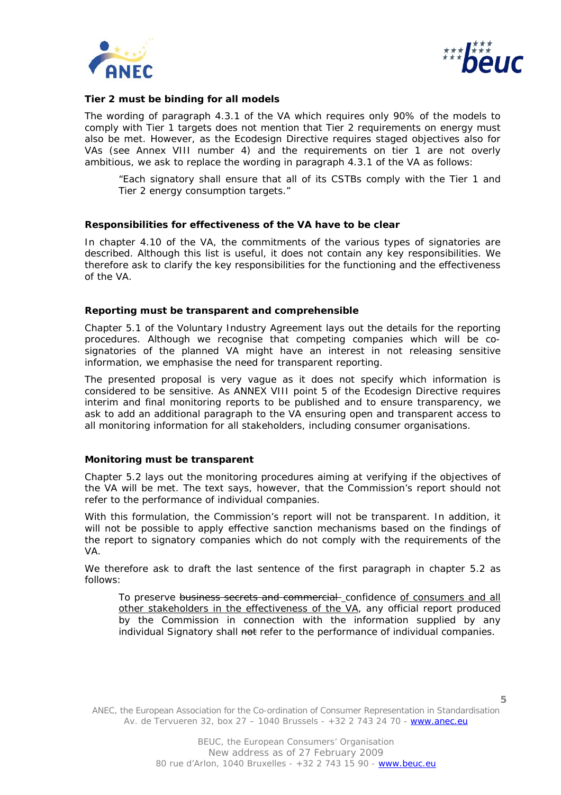



#### **Tier 2 must be binding for all models**

The wording of paragraph 4.3.1 of the VA which requires only 90% of the models to comply with Tier 1 targets does not mention that Tier 2 requirements on energy must also be met. However, as the Ecodesign Directive requires staged objectives also for VAs (see Annex VIII number 4) and the requirements on tier 1 are not overly ambitious, we ask to replace the wording in paragraph 4.3.1 of the VA as follows:

"Each signatory shall ensure that all of its CSTBs comply with the Tier 1 and Tier 2 energy consumption targets."

#### **Responsibilities for effectiveness of the VA have to be clear**

In chapter 4.10 of the VA, the commitments of the various types of signatories are described. Although this list is useful, it does not contain any key responsibilities. We therefore ask to clarify the key responsibilities for the functioning and the effectiveness of the VA.

#### **Reporting must be transparent and comprehensible**

Chapter 5.1 of the Voluntary Industry Agreement lays out the details for the reporting procedures. Although we recognise that competing companies which will be cosignatories of the planned VA might have an interest in not releasing sensitive information, we emphasise the need for transparent reporting.

The presented proposal is very vague as it does not specify which information is considered to be sensitive. As ANNEX VIII point 5 of the Ecodesign Directive requires interim and final monitoring reports to be published and to ensure transparency, we ask to add an additional paragraph to the VA ensuring open and transparent access to all monitoring information for all stakeholders, including consumer organisations.

#### **Monitoring must be transparent**

Chapter 5.2 lays out the monitoring procedures aiming at verifying if the objectives of the VA will be met. The text says, however, that the Commission's report should not refer to the performance of individual companies.

With this formulation, the Commission's report will not be transparent. In addition, it will not be possible to apply effective sanction mechanisms based on the findings of the report to signatory companies which do not comply with the requirements of the VA.

We therefore ask to draft the last sentence of the first paragraph in chapter 5.2 as follows:

To preserve business secrets and commercial confidence of consumers and all other stakeholders in the effectiveness of the VA, any official report produced by the Commission in connection with the information supplied by any individual Signatory shall not refer to the performance of individual companies.

ANEC, the European Association for the Co-ordination of Consumer Representation in Standardisation Av. de Tervueren 32, box 27 – 1040 Brussels - +32 2 743 24 70 - www.anec.eu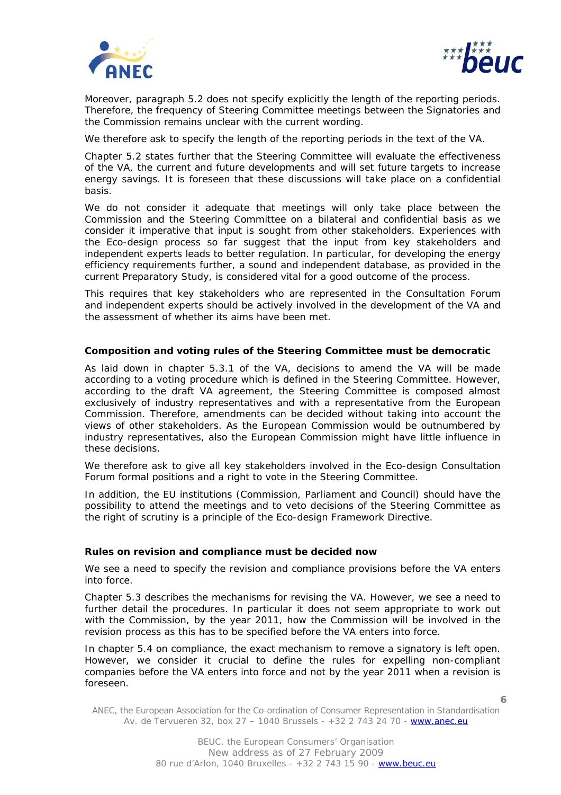



Moreover, paragraph 5.2 does not specify explicitly the length of the reporting periods. Therefore, the frequency of Steering Committee meetings between the Signatories and the Commission remains unclear with the current wording.

We therefore ask to specify the length of the reporting periods in the text of the VA.

Chapter 5.2 states further that the Steering Committee will evaluate the effectiveness of the VA, the current and future developments and will set future targets to increase energy savings. It is foreseen that these discussions will take place on a confidential basis.

We do not consider it adequate that meetings will only take place between the Commission and the Steering Committee on a bilateral and confidential basis as we consider it imperative that input is sought from other stakeholders. Experiences with the Eco-design process so far suggest that the input from key stakeholders and independent experts leads to better regulation. In particular, for developing the energy efficiency requirements further, a sound and independent database, as provided in the current Preparatory Study, is considered vital for a good outcome of the process.

This requires that key stakeholders who are represented in the Consultation Forum and independent experts should be actively involved in the development of the VA and the assessment of whether its aims have been met.

#### **Composition and voting rules of the Steering Committee must be democratic**

As laid down in chapter 5.3.1 of the VA, decisions to amend the VA will be made according to a voting procedure which is defined in the Steering Committee. However, according to the draft VA agreement, the Steering Committee is composed almost exclusively of industry representatives and with a representative from the European Commission. Therefore, amendments can be decided without taking into account the views of other stakeholders. As the European Commission would be outnumbered by industry representatives, also the European Commission might have little influence in these decisions.

We therefore ask to give all key stakeholders involved in the Eco-design Consultation Forum formal positions and a right to vote in the Steering Committee.

In addition, the EU institutions (Commission, Parliament and Council) should have the possibility to attend the meetings and to veto decisions of the Steering Committee as the right of scrutiny is a principle of the Eco-design Framework Directive.

#### **Rules on revision and compliance must be decided now**

We see a need to specify the revision and compliance provisions before the VA enters into force.

Chapter 5.3 describes the mechanisms for revising the VA. However, we see a need to further detail the procedures. In particular it does not seem appropriate to work out with the Commission, by the year 2011, how the Commission will be involved in the revision process as this has to be specified before the VA enters into force.

In chapter 5.4 on compliance, the exact mechanism to remove a signatory is left open. However, we consider it crucial to define the rules for expelling non-compliant companies before the VA enters into force and not by the year 2011 when a revision is foreseen.

ANEC, the European Association for the Co-ordination of Consumer Representation in Standardisation Av. de Tervueren 32, box 27 – 1040 Brussels - +32 2 743 24 70 - www.anec.eu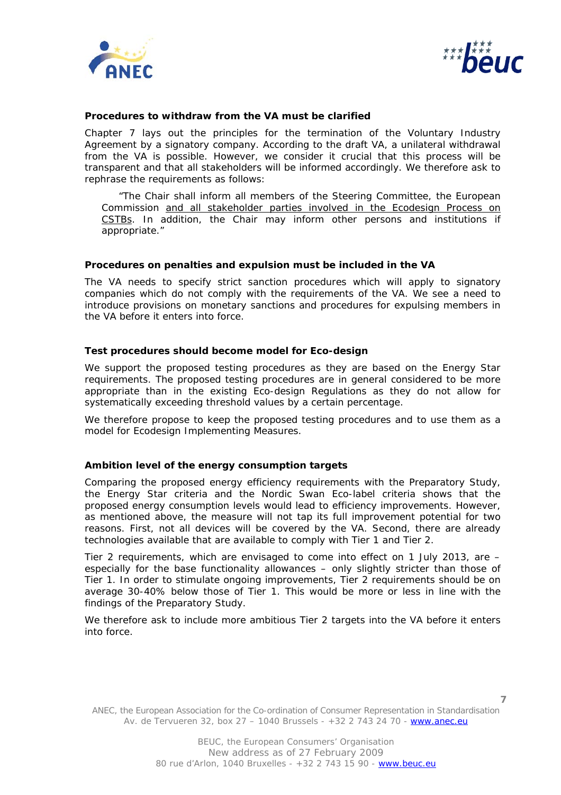



#### **Procedures to withdraw from the VA must be clarified**

Chapter 7 lays out the principles for the termination of the Voluntary Industry Agreement by a signatory company. According to the draft VA, a unilateral withdrawal from the VA is possible. However, we consider it crucial that this process will be transparent and that all stakeholders will be informed accordingly. We therefore ask to rephrase the requirements as follows:

"The Chair shall inform all *members of the Steering Committee, the European Commission and all stakeholder parties involved in the Ecodesign Process on CSTBs. In addition, the Chair may inform other persons and institutions if appropriate."* 

#### **Procedures on penalties and expulsion must be included in the VA**

The VA needs to specify strict sanction procedures which will apply to signatory companies which do not comply with the requirements of the VA. We see a need to introduce provisions on monetary sanctions and procedures for expulsing members in the VA before it enters into force.

#### **Test procedures should become model for Eco-design**

We support the proposed testing procedures as they are based on the Energy Star requirements. The proposed testing procedures are in general considered to be more appropriate than in the existing Eco-design Regulations as they do not allow for systematically exceeding threshold values by a certain percentage.

We therefore propose to keep the proposed testing procedures and to use them as a model for Ecodesign Implementing Measures.

#### **Ambition level of the energy consumption targets**

Comparing the proposed energy efficiency requirements with the Preparatory Study, the Energy Star criteria and the Nordic Swan Eco-label criteria shows that the proposed energy consumption levels would lead to efficiency improvements. However, as mentioned above, the measure will not tap its full improvement potential for two reasons. First, not all devices will be covered by the VA. Second, there are already technologies available that are available to comply with Tier 1 and Tier 2.

Tier 2 requirements, which are envisaged to come into effect on 1 July 2013, are – especially for the base functionality allowances – only slightly stricter than those of Tier 1. In order to stimulate ongoing improvements, Tier 2 requirements should be on average 30-40% below those of Tier 1. This would be more or less in line with the findings of the Preparatory Study.

We therefore ask to include more ambitious Tier 2 targets into the VA before it enters into force.

ANEC, the European Association for the Co-ordination of Consumer Representation in Standardisation Av. de Tervueren 32, box 27 – 1040 Brussels - +32 2 743 24 70 - www.anec.eu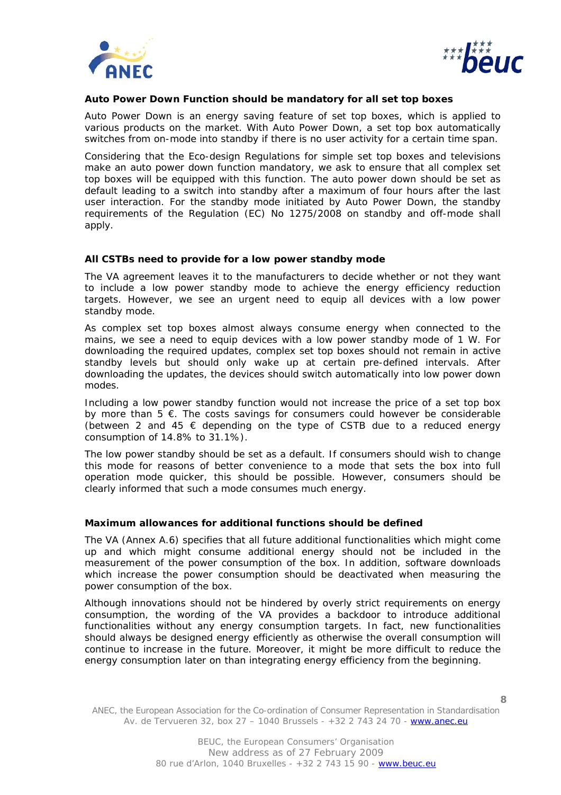



#### **Auto Power Down Function should be mandatory for all set top boxes**

Auto Power Down is an energy saving feature of set top boxes, which is applied to various products on the market. With Auto Power Down, a set top box automatically switches from on-mode into standby if there is no user activity for a certain time span.

Considering that the Eco-design Regulations for simple set top boxes and televisions make an auto power down function mandatory, we ask to ensure that all complex set top boxes will be equipped with this function. The auto power down should be set as default leading to a switch into standby after a maximum of four hours after the last user interaction. For the standby mode initiated by Auto Power Down, the standby requirements of the Regulation (EC) No 1275/2008 on standby and off-mode shall apply.

#### **All CSTBs need to provide for a low power standby mode**

The VA agreement leaves it to the manufacturers to decide whether or not they want to include a low power standby mode to achieve the energy efficiency reduction targets. However, we see an urgent need to equip all devices with a low power standby mode.

As complex set top boxes almost always consume energy when connected to the mains, we see a need to equip devices with a low power standby mode of 1 W. For downloading the required updates, complex set top boxes should not remain in active standby levels but should only wake up at certain pre-defined intervals. After downloading the updates, the devices should switch automatically into low power down modes.

Including a low power standby function would not increase the price of a set top box by more than  $5 \notin$ . The costs savings for consumers could however be considerable (between 2 and 45  $\epsilon$  depending on the type of CSTB due to a reduced energy consumption of 14.8% to 31.1%).

The low power standby should be set as a default. If consumers should wish to change this mode for reasons of better convenience to a mode that sets the box into full operation mode quicker, this should be possible. However, consumers should be clearly informed that such a mode consumes much energy.

#### **Maximum allowances for additional functions should be defined**

The VA (Annex A.6) specifies that all future additional functionalities which might come up and which might consume additional energy should not be included in the measurement of the power consumption of the box. In addition, software downloads which increase the power consumption should be deactivated when measuring the power consumption of the box.

Although innovations should not be hindered by overly strict requirements on energy consumption, the wording of the VA provides a backdoor to introduce additional functionalities without any energy consumption targets. In fact, new functionalities should always be designed energy efficiently as otherwise the overall consumption will continue to increase in the future. Moreover, it might be more difficult to reduce the energy consumption later on than integrating energy efficiency from the beginning.

ANEC, the European Association for the Co-ordination of Consumer Representation in Standardisation Av. de Tervueren 32, box 27 – 1040 Brussels - +32 2 743 24 70 - www.anec.eu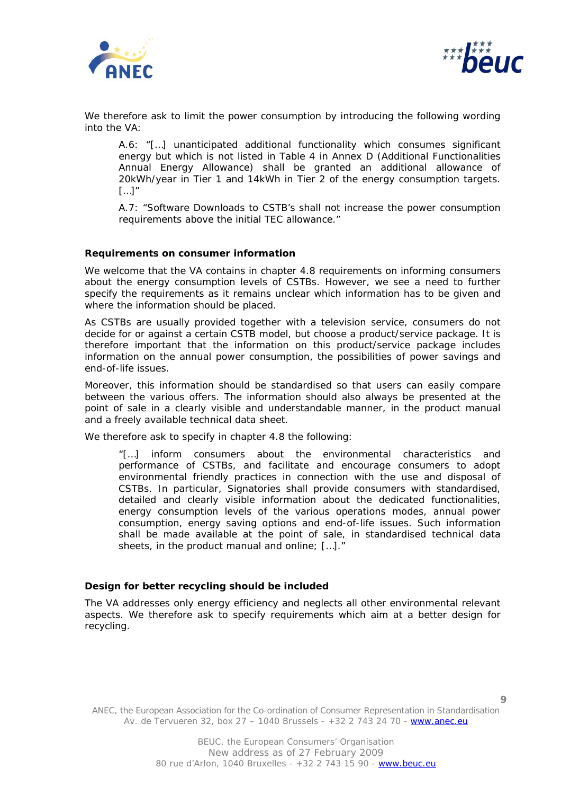



We therefore ask to limit the power consumption by introducing the following wording into the VA:

*A.6: "[…] unanticipated additional functionality which consumes significant energy but which is not listed in Table 4 in Annex D (Additional Functionalities Annual Energy Allowance) shall be granted an additional allowance of 20kWh/year in Tier 1 and 14kWh in Tier 2 of the energy consumption targets. […]"* 

*A.7: "Software Downloads to CSTB's shall not increase the power consumption requirements above the initial TEC allowance."* 

#### **Requirements on consumer information**

We welcome that the VA contains in chapter 4.8 requirements on informing consumers about the energy consumption levels of CSTBs. However, we see a need to further specify the requirements as it remains unclear which information has to be given and where the information should be placed.

As CSTBs are usually provided together with a television service, consumers do not decide for or against a certain CSTB model, but choose a product/service package. It is therefore important that the information on this product/service package includes information on the annual power consumption, the possibilities of power savings and end-of-life issues.

Moreover, this information should be standardised so that users can easily compare between the various offers. The information should also always be presented at the point of sale in a clearly visible and understandable manner, in the product manual and a freely available technical data sheet.

We therefore ask to specify in chapter 4.8 the following:

*"[…] inform consumers about the environmental characteristics and performance of CSTBs, and facilitate and encourage consumers to adopt*  environmental friendly practices in connection with the use and disposal of *CSTBs. In particular, Signatories shall provide consumers with standardised, detailed and clearly visible information about the dedicated functionalities, energy consumption levels of the various operations modes, annual power consumption, energy saving options and end-of-life issues. Such information shall be made available at the point of sale, in standardised technical data sheets, in the product manual and online; […]."* 

## **Design for better recycling should be included**

The VA addresses only energy efficiency and neglects all other environmental relevant aspects. We therefore ask to specify requirements which aim at a better design for recycling.

ANEC, the European Association for the Co-ordination of Consumer Representation in Standardisation Av. de Tervueren 32, box 27 – 1040 Brussels - +32 2 743 24 70 - www.anec.eu